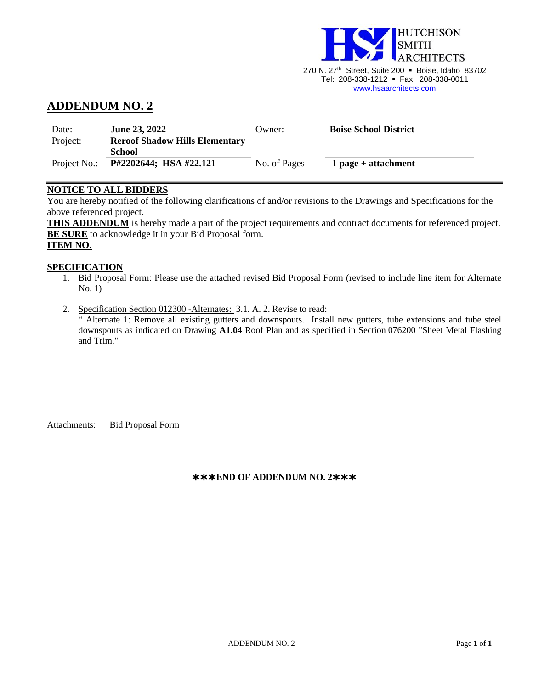

270 N. 27<sup>th</sup> Street, Suite 200 · Boise, Idaho 83702 Tel: 208-338-1212 ▪ Fax: 208-338-0011 [www.hsaarchitects.com](http://www.hsaarchitects.com/)

# **ADDENDUM NO. 2**

| Date:        | <b>June 23, 2022</b>                  | Owner:       | <b>Boise School District</b> |
|--------------|---------------------------------------|--------------|------------------------------|
| Project:     | <b>Reroof Shadow Hills Elementary</b> |              |                              |
|              | School                                |              |                              |
| Project No.: | P#2202644; HSA #22.121                | No. of Pages | $1$ page + attachment        |

# **NOTICE TO ALL BIDDERS**

You are hereby notified of the following clarifications of and/or revisions to the Drawings and Specifications for the above referenced project.

**THIS ADDENDUM** is hereby made a part of the project requirements and contract documents for referenced project. **BE SURE** to acknowledge it in your Bid Proposal form. **ITEM NO.**

#### **SPECIFICATION**

- 1. Bid Proposal Form: Please use the attached revised Bid Proposal Form (revised to include line item for Alternate No. 1)
- 2. Specification Section 012300 -Alternates: 3.1. A. 2. Revise to read:

" Alternate 1: Remove all existing gutters and downspouts. Install new gutters, tube extensions and tube steel downspouts as indicated on Drawing **A1.04** Roof Plan and as specified in Section 076200 "Sheet Metal Flashing and Trim."

Attachments: Bid Proposal Form

## **END OF ADDENDUM NO. 2**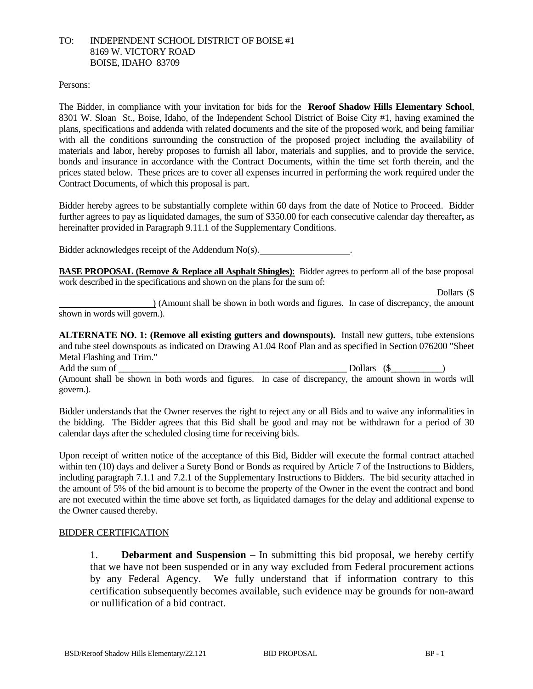## TO: INDEPENDENT SCHOOL DISTRICT OF BOISE #1 8169 W. VICTORY ROAD BOISE, IDAHO 83709

#### Persons:

The Bidder, in compliance with your invitation for bids for the **Reroof Shadow Hills Elementary School**, 8301 W. Sloan St., Boise, Idaho, of the Independent School District of Boise City #1, having examined the plans, specifications and addenda with related documents and the site of the proposed work, and being familiar with all the conditions surrounding the construction of the proposed project including the availability of materials and labor, hereby proposes to furnish all labor, materials and supplies, and to provide the service, bonds and insurance in accordance with the Contract Documents, within the time set forth therein, and the prices stated below. These prices are to cover all expenses incurred in performing the work required under the Contract Documents, of which this proposal is part.

Bidder hereby agrees to be substantially complete within 60 days from the date of Notice to Proceed. Bidder further agrees to pay as liquidated damages, the sum of \$350.00 for each consecutive calendar day thereafter**,** as hereinafter provided in Paragraph 9.11.1 of the Supplementary Conditions.

Bidder acknowledges receipt of the Addendum No(s). .

**BASE PROPOSAL (Remove & Replace all Asphalt Shingles)**: Bidder agrees to perform all of the base proposal work described in the specifications and shown on the plans for the sum of:

Dollars (\$

) (Amount shall be shown in both words and figures. In case of discrepancy, the amount shown in words will govern.).

**ALTERNATE NO. 1: (Remove all existing gutters and downspouts).** Install new gutters, tube extensions and tube steel downspouts as indicated on Drawing A1.04 Roof Plan and as specified in Section 076200 "Sheet Metal Flashing and Trim."

Add the sum of \_\_\_\_\_\_\_\_\_\_\_\_\_\_\_\_\_\_\_\_\_\_\_\_\_\_\_\_\_\_\_\_\_\_\_\_\_\_\_\_\_\_\_\_\_\_\_\_\_ Dollars (\$\_\_\_\_\_\_\_\_\_\_\_) (Amount shall be shown in both words and figures. In case of discrepancy, the amount shown in words will govern.).

Bidder understands that the Owner reserves the right to reject any or all Bids and to waive any informalities in the bidding. The Bidder agrees that this Bid shall be good and may not be withdrawn for a period of 30 calendar days after the scheduled closing time for receiving bids.

Upon receipt of written notice of the acceptance of this Bid, Bidder will execute the formal contract attached within ten (10) days and deliver a Surety Bond or Bonds as required by Article 7 of the Instructions to Bidders, including paragraph 7.1.1 and 7.2.1 of the Supplementary Instructions to Bidders. The bid security attached in the amount of 5% of the bid amount is to become the property of the Owner in the event the contract and bond are not executed within the time above set forth, as liquidated damages for the delay and additional expense to the Owner caused thereby.

# BIDDER CERTIFICATION

1. **Debarment and Suspension** – In submitting this bid proposal, we hereby certify that we have not been suspended or in any way excluded from Federal procurement actions by any Federal Agency. We fully understand that if information contrary to this certification subsequently becomes available, such evidence may be grounds for non-award or nullification of a bid contract.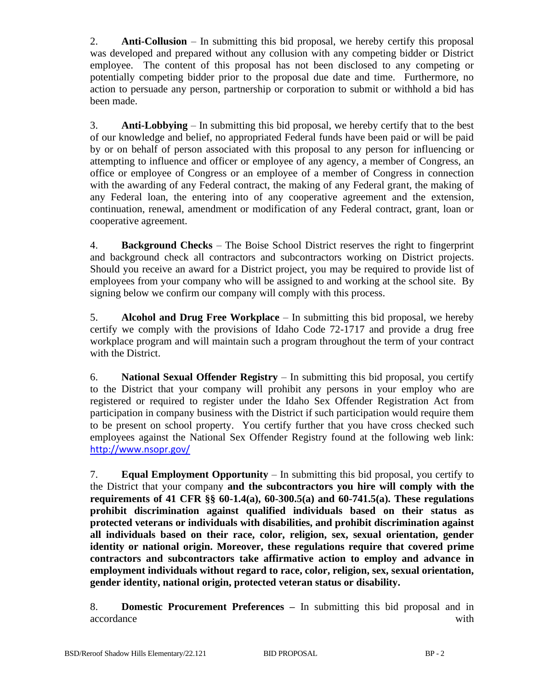2. **Anti-Collusion** – In submitting this bid proposal, we hereby certify this proposal was developed and prepared without any collusion with any competing bidder or District employee. The content of this proposal has not been disclosed to any competing or potentially competing bidder prior to the proposal due date and time. Furthermore, no action to persuade any person, partnership or corporation to submit or withhold a bid has been made.

3. **Anti-Lobbying** – In submitting this bid proposal, we hereby certify that to the best of our knowledge and belief, no appropriated Federal funds have been paid or will be paid by or on behalf of person associated with this proposal to any person for influencing or attempting to influence and officer or employee of any agency, a member of Congress, an office or employee of Congress or an employee of a member of Congress in connection with the awarding of any Federal contract, the making of any Federal grant, the making of any Federal loan, the entering into of any cooperative agreement and the extension, continuation, renewal, amendment or modification of any Federal contract, grant, loan or cooperative agreement.

4. **Background Checks** – The Boise School District reserves the right to fingerprint and background check all contractors and subcontractors working on District projects. Should you receive an award for a District project, you may be required to provide list of employees from your company who will be assigned to and working at the school site. By signing below we confirm our company will comply with this process.

5. **Alcohol and Drug Free Workplace** – In submitting this bid proposal, we hereby certify we comply with the provisions of Idaho Code 72-1717 and provide a drug free workplace program and will maintain such a program throughout the term of your contract with the District.

6. **National Sexual Offender Registry** – In submitting this bid proposal, you certify to the District that your company will prohibit any persons in your employ who are registered or required to register under the Idaho Sex Offender Registration Act from participation in company business with the District if such participation would require them to be present on school property. You certify further that you have cross checked such employees against the National Sex Offender Registry found at the following web link: <http://www.nsopr.gov/>

7. **Equal Employment Opportunity** – In submitting this bid proposal, you certify to the District that your company **and the subcontractors you hire will comply with the requirements of 41 CFR §§ 60-1.4(a), 60-300.5(a) and 60-741.5(a). These regulations prohibit discrimination against qualified individuals based on their status as protected veterans or individuals with disabilities, and prohibit discrimination against all individuals based on their race, color, religion, sex, sexual orientation, gender identity or national origin. Moreover, these regulations require that covered prime contractors and subcontractors take affirmative action to employ and advance in employment individuals without regard to race, color, religion, sex, sexual orientation, gender identity, national origin, protected veteran status or disability.**

8. **Domestic Procurement Preferences –** In submitting this bid proposal and in accordance with  $\mathbf{w}$  with